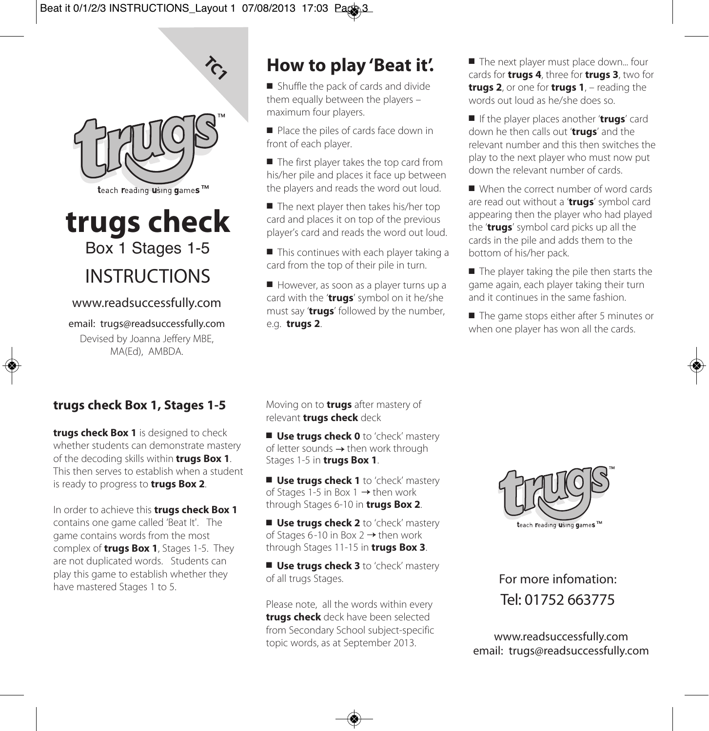

 $\lambda$ 

# **trugs check** Box 1 Stages 1-5 INSTRUCTIONS

#### www.readsuccessfully.com

email: trugs@readsuccessfully.com Devised by Joanna Jeffery MBE, MA(Ed), AMBDA.

# **How to play 'Beat it'.**

 $\blacksquare$  Shuffle the pack of cards and divide them equally between the players – maximum four players.

Place the piles of cards face down in front of each player.

■ The first player takes the top card from his/her pile and places it face up between the players and reads the word out loud.

 $\blacksquare$  The next player then takes his/her top card and places it on top of the previous player's card and reads the word out loud.

 $\blacksquare$  This continues with each player taking a card from the top of their pile in turn.

However, as soon as a player turns up a card with the '**trugs**' symbol on it he/she must say '**trugs**' followed by the number, e.g. **trugs 2**.

The next player must place down... four cards for **trugs 4**, three for **trugs 3**, two for **trugs 2**, or one for **trugs 1**, – reading the words out loud as he/she does so.

n If the player places another '**trugs**' card down he then calls out '**trugs**' and the relevant number and this then switches the play to the next player who must now put down the relevant number of cards.

When the correct number of word cards are read out without a '**trugs**' symbol card appearing then the player who had played the '**trugs**' symbol card picks up all the cards in the pile and adds them to the bottom of his/her pack.

 $\blacksquare$  The player taking the pile then starts the game again, each player taking their turn and it continues in the same fashion.

 $\blacksquare$  The game stops either after 5 minutes or when one player has won all the cards.

## **trugs check Box 1, Stages 1-5**

**trugs check Box 1** is designed to check whether students can demonstrate mastery of the decoding skills within **trugs Box 1**. This then serves to establish when a student is ready to progress to **trugs Box 2**.

In order to achieve this **trugs check Box 1** contains one game called 'Beat It'. The game contains words from the most complex of **trugs Box 1**, Stages 1-5. They are not duplicated words. Students can play this game to establish whether they have mastered Stages 1 to 5.

Moving on to **trugs** after mastery of relevant **trugs check** deck

■ Use trugs check 0 to 'check' mastery of letter sounds  $\rightarrow$  then work through Stages 1-5 in **trugs Box 1**.

■ Use truas check 1 to 'check' mastery of Stages 1-5 in Box 1  $\rightarrow$  then work through Stages 6-10 in **trugs Box 2**.

■ Use trugs check 2 to 'check' mastery of Stages 6-10 in Box 2  $\rightarrow$  then work through Stages 11-15 in **trugs Box 3**.

■ Use trugs check 3 to 'check' mastery of all trugs Stages.

Please note, all the words within every **trugs check** deck have been selected from Secondary School subject-specific Trom secondary school subject-specific<br>topic words, as at September 2013. **www.readsuccessfully.com** 



For more infomation: Tel: 01752 663775

email: trugs@readsuccessfully.com